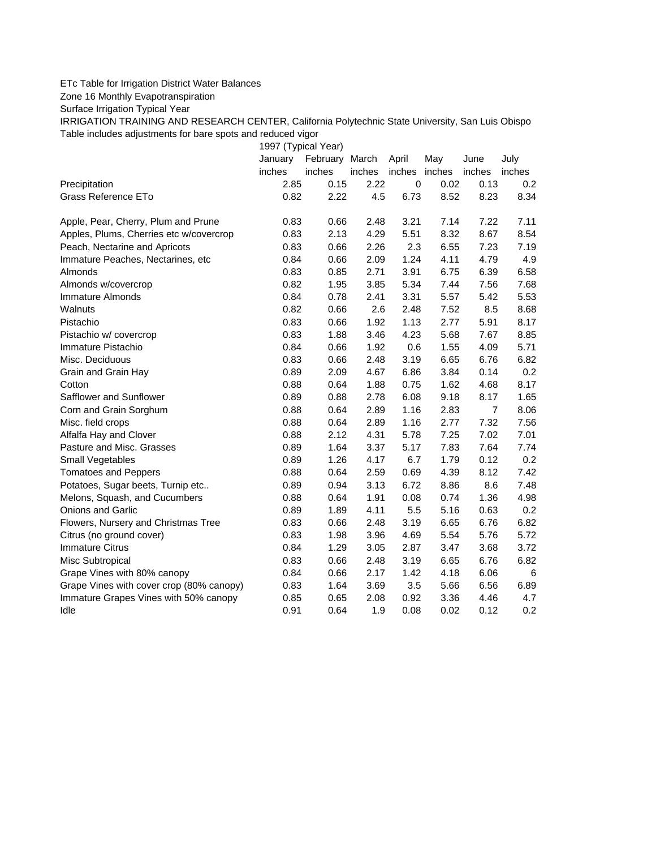## ETc Table for Irrigation District Water Balances

Zone 16 Monthly Evapotranspiration

Surface Irrigation Typical Year

IRRIGATION TRAINING AND RESEARCH CENTER, California Polytechnic State University, San Luis Obispo Table includes adjustments for bare spots and reduced vigor

1997 (Typical Year)

|                                          | January | February March |        | April         | May  | June           | July   |
|------------------------------------------|---------|----------------|--------|---------------|------|----------------|--------|
|                                          | inches  | inches         | inches | inches inches |      | inches         | inches |
| Precipitation                            | 2.85    | 0.15           | 2.22   | $\mathbf 0$   | 0.02 | 0.13           | 0.2    |
| Grass Reference ETo                      | 0.82    | 2.22           | 4.5    | 6.73          | 8.52 | 8.23           | 8.34   |
| Apple, Pear, Cherry, Plum and Prune      | 0.83    | 0.66           | 2.48   | 3.21          | 7.14 | 7.22           | 7.11   |
| Apples, Plums, Cherries etc w/covercrop  | 0.83    | 2.13           | 4.29   | 5.51          | 8.32 | 8.67           | 8.54   |
| Peach, Nectarine and Apricots            | 0.83    | 0.66           | 2.26   | 2.3           | 6.55 | 7.23           | 7.19   |
| Immature Peaches, Nectarines, etc        | 0.84    | 0.66           | 2.09   | 1.24          | 4.11 | 4.79           | 4.9    |
| Almonds                                  | 0.83    | 0.85           | 2.71   | 3.91          | 6.75 | 6.39           | 6.58   |
| Almonds w/covercrop                      | 0.82    | 1.95           | 3.85   | 5.34          | 7.44 | 7.56           | 7.68   |
| Immature Almonds                         | 0.84    | 0.78           | 2.41   | 3.31          | 5.57 | 5.42           | 5.53   |
| Walnuts                                  | 0.82    | 0.66           | 2.6    | 2.48          | 7.52 | 8.5            | 8.68   |
| Pistachio                                | 0.83    | 0.66           | 1.92   | 1.13          | 2.77 | 5.91           | 8.17   |
| Pistachio w/ covercrop                   | 0.83    | 1.88           | 3.46   | 4.23          | 5.68 | 7.67           | 8.85   |
| Immature Pistachio                       | 0.84    | 0.66           | 1.92   | 0.6           | 1.55 | 4.09           | 5.71   |
| Misc. Deciduous                          | 0.83    | 0.66           | 2.48   | 3.19          | 6.65 | 6.76           | 6.82   |
| Grain and Grain Hay                      | 0.89    | 2.09           | 4.67   | 6.86          | 3.84 | 0.14           | 0.2    |
| Cotton                                   | 0.88    | 0.64           | 1.88   | 0.75          | 1.62 | 4.68           | 8.17   |
| Safflower and Sunflower                  | 0.89    | 0.88           | 2.78   | 6.08          | 9.18 | 8.17           | 1.65   |
| Corn and Grain Sorghum                   | 0.88    | 0.64           | 2.89   | 1.16          | 2.83 | $\overline{7}$ | 8.06   |
| Misc. field crops                        | 0.88    | 0.64           | 2.89   | 1.16          | 2.77 | 7.32           | 7.56   |
| Alfalfa Hay and Clover                   | 0.88    | 2.12           | 4.31   | 5.78          | 7.25 | 7.02           | 7.01   |
| Pasture and Misc. Grasses                | 0.89    | 1.64           | 3.37   | 5.17          | 7.83 | 7.64           | 7.74   |
| Small Vegetables                         | 0.89    | 1.26           | 4.17   | 6.7           | 1.79 | 0.12           | 0.2    |
| <b>Tomatoes and Peppers</b>              | 0.88    | 0.64           | 2.59   | 0.69          | 4.39 | 8.12           | 7.42   |
| Potatoes, Sugar beets, Turnip etc        | 0.89    | 0.94           | 3.13   | 6.72          | 8.86 | 8.6            | 7.48   |
| Melons, Squash, and Cucumbers            | 0.88    | 0.64           | 1.91   | 0.08          | 0.74 | 1.36           | 4.98   |
| Onions and Garlic                        | 0.89    | 1.89           | 4.11   | 5.5           | 5.16 | 0.63           | 0.2    |
| Flowers, Nursery and Christmas Tree      | 0.83    | 0.66           | 2.48   | 3.19          | 6.65 | 6.76           | 6.82   |
| Citrus (no ground cover)                 | 0.83    | 1.98           | 3.96   | 4.69          | 5.54 | 5.76           | 5.72   |
| <b>Immature Citrus</b>                   | 0.84    | 1.29           | 3.05   | 2.87          | 3.47 | 3.68           | 3.72   |
| Misc Subtropical                         | 0.83    | 0.66           | 2.48   | 3.19          | 6.65 | 6.76           | 6.82   |
| Grape Vines with 80% canopy              | 0.84    | 0.66           | 2.17   | 1.42          | 4.18 | 6.06           | 6      |
| Grape Vines with cover crop (80% canopy) | 0.83    | 1.64           | 3.69   | 3.5           | 5.66 | 6.56           | 6.89   |
| Immature Grapes Vines with 50% canopy    | 0.85    | 0.65           | 2.08   | 0.92          | 3.36 | 4.46           | 4.7    |
| Idle                                     | 0.91    | 0.64           | 1.9    | 0.08          | 0.02 | 0.12           | 0.2    |